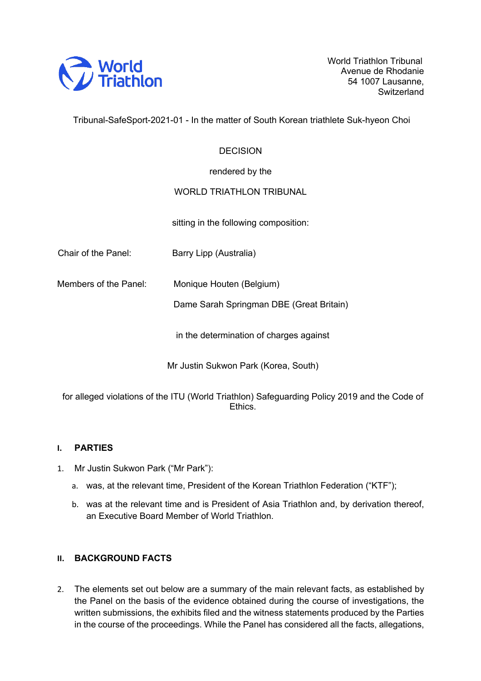

World Triathlon Tribunal Avenue de Rhodanie 54 1007 Lausanne, **Switzerland** 

Tribunal-SafeSport-2021-01 - In the matter of South Korean triathlete Suk-hyeon Choi

#### **DECISION**

rendered by the

#### WORLD TRIATHLON TRIBUNAL

sitting in the following composition:

Chair of the Panel: Barry Lipp (Australia)

Members of the Panel: Monique Houten (Belgium)

Dame Sarah Springman DBE (Great Britain)

in the determination of charges against

Mr Justin Sukwon Park (Korea, South)

for alleged violations of the ITU (World Triathlon) Safeguarding Policy 2019 and the Code of **Ethics** 

#### **I. PARTIES**

- 1. Mr Justin Sukwon Park ("Mr Park"):
	- a. was, at the relevant time, President of the Korean Triathlon Federation ("KTF");
	- b. was at the relevant time and is President of Asia Triathlon and, by derivation thereof, an Executive Board Member of World Triathlon.

#### **II. BACKGROUND FACTS**

2. The elements set out below are a summary of the main relevant facts, as established by the Panel on the basis of the evidence obtained during the course of investigations, the written submissions, the exhibits filed and the witness statements produced by the Parties in the course of the proceedings. While the Panel has considered all the facts, allegations,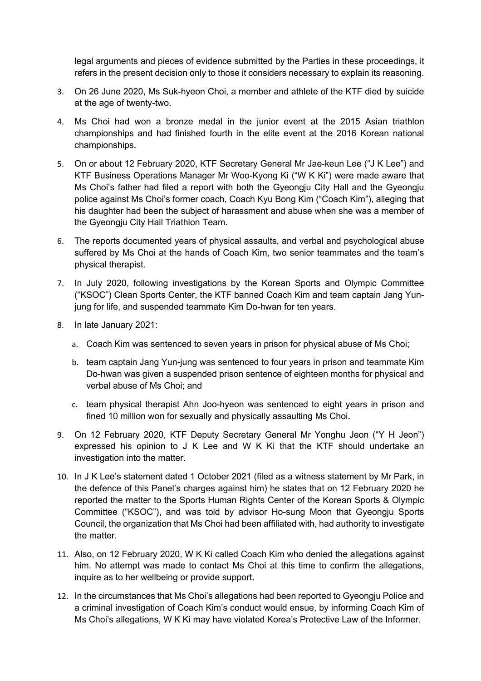legal arguments and pieces of evidence submitted by the Parties in these proceedings, it refers in the present decision only to those it considers necessary to explain its reasoning.

- 3. On 26 June 2020, Ms Suk-hyeon Choi, a member and athlete of the KTF died by suicide at the age of twenty-two.
- 4. Ms Choi had won a bronze medal in the junior event at the 2015 Asian triathlon championships and had finished fourth in the elite event at the 2016 Korean national championships.
- 5. On or about 12 February 2020, KTF Secretary General Mr Jae-keun Lee ("J K Lee") and KTF Business Operations Manager Mr Woo-Kyong Ki ("W K Ki") were made aware that Ms Choi's father had filed a report with both the Gyeongju City Hall and the Gyeongju police against Ms Choi's former coach, Coach Kyu Bong Kim ("Coach Kim"), alleging that his daughter had been the subject of harassment and abuse when she was a member of the Gyeongju City Hall Triathlon Team.
- 6. The reports documented years of physical assaults, and verbal and psychological abuse suffered by Ms Choi at the hands of Coach Kim, two senior teammates and the team's physical therapist.
- 7. In July 2020, following investigations by the Korean Sports and Olympic Committee ("KSOC") Clean Sports Center, the KTF banned Coach Kim and team captain Jang Yunjung for life, and suspended teammate Kim Do-hwan for ten years.
- 8. In late January 2021:
	- a. Coach Kim was sentenced to seven years in prison for physical abuse of Ms Choi;
	- b. team captain Jang Yun-jung was sentenced to four years in prison and teammate Kim Do-hwan was given a suspended prison sentence of eighteen months for physical and verbal abuse of Ms Choi; and
	- c. team physical therapist Ahn Joo-hyeon was sentenced to eight years in prison and fined 10 million won for sexually and physically assaulting Ms Choi.
- 9. On 12 February 2020, KTF Deputy Secretary General Mr Yonghu Jeon ("Y H Jeon") expressed his opinion to J K Lee and W K Ki that the KTF should undertake an investigation into the matter.
- 10. In J K Lee's statement dated 1 October 2021 (filed as a witness statement by Mr Park, in the defence of this Panel's charges against him) he states that on 12 February 2020 he reported the matter to the Sports Human Rights Center of the Korean Sports & Olympic Committee ("KSOC"), and was told by advisor Ho-sung Moon that Gyeongju Sports Council, the organization that Ms Choi had been affiliated with, had authority to investigate the matter.
- 11. Also, on 12 February 2020, W K Ki called Coach Kim who denied the allegations against him. No attempt was made to contact Ms Choi at this time to confirm the allegations, inquire as to her wellbeing or provide support.
- 12. In the circumstances that Ms Choi's allegations had been reported to Gyeongju Police and a criminal investigation of Coach Kim's conduct would ensue, by informing Coach Kim of Ms Choi's allegations, W K Ki may have violated Korea's Protective Law of the Informer.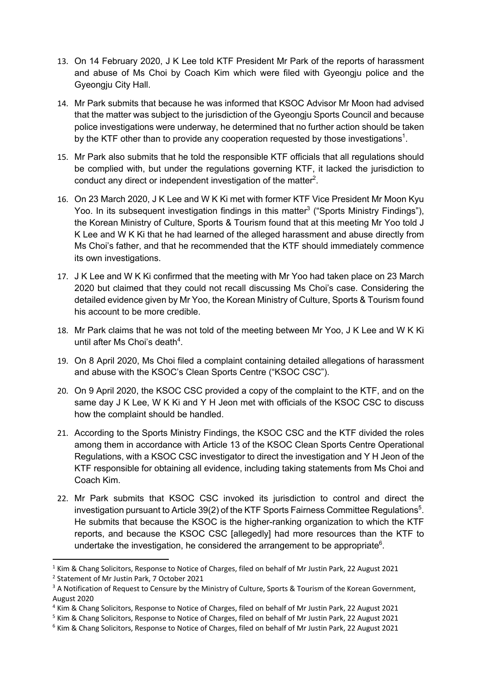- 13. On 14 February 2020, J K Lee told KTF President Mr Park of the reports of harassment and abuse of Ms Choi by Coach Kim which were filed with Gyeongju police and the Gyeongju City Hall.
- 14. Mr Park submits that because he was informed that KSOC Advisor Mr Moon had advised that the matter was subject to the jurisdiction of the Gyeongju Sports Council and because police investigations were underway, he determined that no further action should be taken by the KTF other than to provide any cooperation requested by those investigations<sup>1</sup>.
- 15. Mr Park also submits that he told the responsible KTF officials that all regulations should be complied with, but under the regulations governing KTF, it lacked the jurisdiction to conduct any direct or independent investigation of the matter $2$ .
- 16. On 23 March 2020, J K Lee and W K Ki met with former KTF Vice President Mr Moon Kyu Yoo. In its subsequent investigation findings in this matter<sup>3</sup> ("Sports Ministry Findings"), the Korean Ministry of Culture, Sports & Tourism found that at this meeting Mr Yoo told J K Lee and W K Ki that he had learned of the alleged harassment and abuse directly from Ms Choi's father, and that he recommended that the KTF should immediately commence its own investigations.
- 17. J K Lee and W K Ki confirmed that the meeting with Mr Yoo had taken place on 23 March 2020 but claimed that they could not recall discussing Ms Choi's case. Considering the detailed evidence given by Mr Yoo, the Korean Ministry of Culture, Sports & Tourism found his account to be more credible.
- 18. Mr Park claims that he was not told of the meeting between Mr Yoo, J K Lee and W K Ki until after Ms Choi's death<sup>4</sup>.
- 19. On 8 April 2020, Ms Choi filed a complaint containing detailed allegations of harassment and abuse with the KSOC's Clean Sports Centre ("KSOC CSC").
- 20. On 9 April 2020, the KSOC CSC provided a copy of the complaint to the KTF, and on the same day J K Lee, W K Ki and Y H Jeon met with officials of the KSOC CSC to discuss how the complaint should be handled.
- 21. According to the Sports Ministry Findings, the KSOC CSC and the KTF divided the roles among them in accordance with Article 13 of the KSOC Clean Sports Centre Operational Regulations, with a KSOC CSC investigator to direct the investigation and Y H Jeon of the KTF responsible for obtaining all evidence, including taking statements from Ms Choi and Coach Kim.
- 22. Mr Park submits that KSOC CSC invoked its jurisdiction to control and direct the investigation pursuant to Article 39(2) of the KTF Sports Fairness Committee Regulations<sup>5</sup>. He submits that because the KSOC is the higher-ranking organization to which the KTF reports, and because the KSOC CSC [allegedly] had more resources than the KTF to undertake the investigation, he considered the arrangement to be appropriate $6$ .

 $1$  Kim & Chang Solicitors, Response to Notice of Charges, filed on behalf of Mr Justin Park, 22 August 2021

<sup>2</sup> Statement of Mr Justin Park, 7 October 2021

<sup>&</sup>lt;sup>3</sup> A Notification of Request to Censure by the Ministry of Culture, Sports & Tourism of the Korean Government, August 2020

<sup>4</sup> Kim & Chang Solicitors, Response to Notice of Charges, filed on behalf of Mr Justin Park, 22 August 2021

<sup>5</sup> Kim & Chang Solicitors, Response to Notice of Charges, filed on behalf of Mr Justin Park, 22 August 2021

<sup>&</sup>lt;sup>6</sup> Kim & Chang Solicitors, Response to Notice of Charges, filed on behalf of Mr Justin Park, 22 August 2021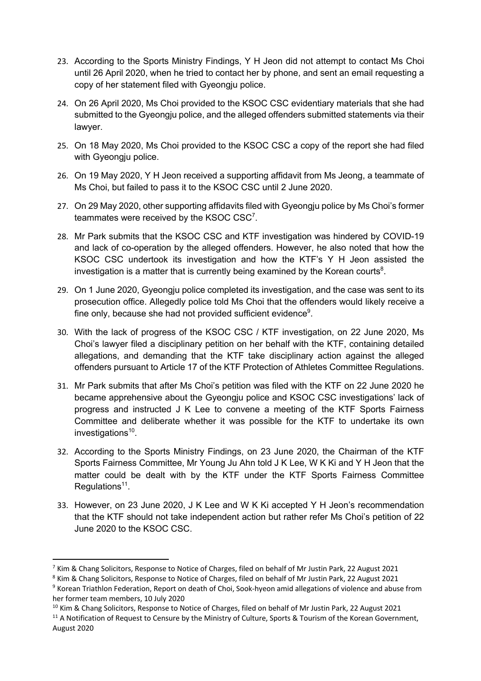- 23. According to the Sports Ministry Findings, Y H Jeon did not attempt to contact Ms Choi until 26 April 2020, when he tried to contact her by phone, and sent an email requesting a copy of her statement filed with Gyeongju police.
- 24. On 26 April 2020, Ms Choi provided to the KSOC CSC evidentiary materials that she had submitted to the Gyeongju police, and the alleged offenders submitted statements via their lawyer.
- 25. On 18 May 2020, Ms Choi provided to the KSOC CSC a copy of the report she had filed with Gyeongju police.
- 26. On 19 May 2020, Y H Jeon received a supporting affidavit from Ms Jeong, a teammate of Ms Choi, but failed to pass it to the KSOC CSC until 2 June 2020.
- 27. On 29 May 2020, other supporting affidavits filed with Gyeongju police by Ms Choi's former teammates were received by the KSOC  $CSC<sup>7</sup>$ .
- 28. Mr Park submits that the KSOC CSC and KTF investigation was hindered by COVID-19 and lack of co-operation by the alleged offenders. However, he also noted that how the KSOC CSC undertook its investigation and how the KTF's Y H Jeon assisted the investigation is a matter that is currently being examined by the Korean courts $8$ .
- 29. On 1 June 2020, Gyeongju police completed its investigation, and the case was sent to its prosecution office. Allegedly police told Ms Choi that the offenders would likely receive a fine only, because she had not provided sufficient evidence $9$ .
- 30. With the lack of progress of the KSOC CSC / KTF investigation, on 22 June 2020, Ms Choi's lawyer filed a disciplinary petition on her behalf with the KTF, containing detailed allegations, and demanding that the KTF take disciplinary action against the alleged offenders pursuant to Article 17 of the KTF Protection of Athletes Committee Regulations.
- 31. Mr Park submits that after Ms Choi's petition was filed with the KTF on 22 June 2020 he became apprehensive about the Gyeongju police and KSOC CSC investigations' lack of progress and instructed J K Lee to convene a meeting of the KTF Sports Fairness Committee and deliberate whether it was possible for the KTF to undertake its own investigations $10$ .
- 32. According to the Sports Ministry Findings, on 23 June 2020, the Chairman of the KTF Sports Fairness Committee, Mr Young Ju Ahn told J K Lee, W K Ki and Y H Jeon that the matter could be dealt with by the KTF under the KTF Sports Fairness Committee Regulations<sup>11</sup>.
- 33. However, on 23 June 2020, J K Lee and W K Ki accepted Y H Jeon's recommendation that the KTF should not take independent action but rather refer Ms Choi's petition of 22 June 2020 to the KSOC CSC.

 $7$  Kim & Chang Solicitors, Response to Notice of Charges, filed on behalf of Mr Justin Park, 22 August 2021

<sup>&</sup>lt;sup>8</sup> Kim & Chang Solicitors, Response to Notice of Charges, filed on behalf of Mr Justin Park, 22 August 2021

<sup>&</sup>lt;sup>9</sup> Korean Triathlon Federation, Report on death of Choi, Sook-hyeon amid allegations of violence and abuse from her former team members, 10 July 2020

<sup>&</sup>lt;sup>10</sup> Kim & Chang Solicitors, Response to Notice of Charges, filed on behalf of Mr Justin Park, 22 August 2021

<sup>&</sup>lt;sup>11</sup> A Notification of Request to Censure by the Ministry of Culture, Sports & Tourism of the Korean Government, August 2020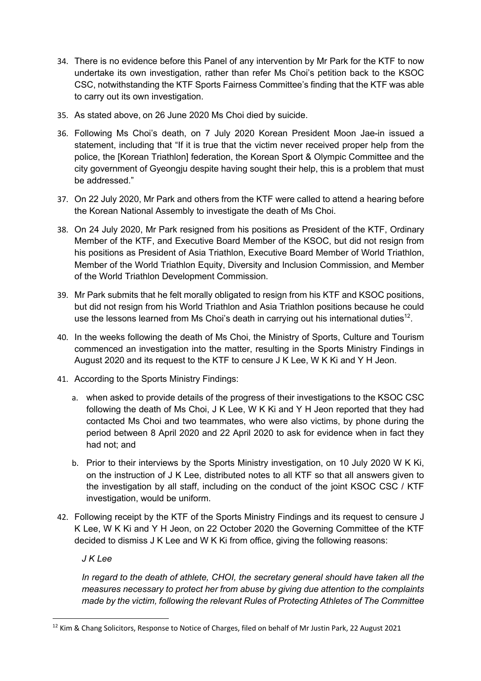- 34. There is no evidence before this Panel of any intervention by Mr Park for the KTF to now undertake its own investigation, rather than refer Ms Choi's petition back to the KSOC CSC, notwithstanding the KTF Sports Fairness Committee's finding that the KTF was able to carry out its own investigation.
- 35. As stated above, on 26 June 2020 Ms Choi died by suicide.
- 36. Following Ms Choi's death, on 7 July 2020 Korean President Moon Jae-in issued a statement, including that "If it is true that the victim never received proper help from the police, the [Korean Triathlon] federation, the Korean Sport & Olympic Committee and the city government of Gyeongju despite having sought their help, this is a problem that must be addressed."
- 37. On 22 July 2020, Mr Park and others from the KTF were called to attend a hearing before the Korean National Assembly to investigate the death of Ms Choi.
- 38. On 24 July 2020, Mr Park resigned from his positions as President of the KTF, Ordinary Member of the KTF, and Executive Board Member of the KSOC, but did not resign from his positions as President of Asia Triathlon, Executive Board Member of World Triathlon, Member of the World Triathlon Equity, Diversity and Inclusion Commission, and Member of the World Triathlon Development Commission.
- 39. Mr Park submits that he felt morally obligated to resign from his KTF and KSOC positions, but did not resign from his World Triathlon and Asia Triathlon positions because he could use the lessons learned from Ms Choi's death in carrying out his international duties<sup>12</sup>.
- 40. In the weeks following the death of Ms Choi, the Ministry of Sports, Culture and Tourism commenced an investigation into the matter, resulting in the Sports Ministry Findings in August 2020 and its request to the KTF to censure J K Lee, W K Ki and Y H Jeon.
- 41. According to the Sports Ministry Findings:
	- a. when asked to provide details of the progress of their investigations to the KSOC CSC following the death of Ms Choi, J K Lee, W K Ki and Y H Jeon reported that they had contacted Ms Choi and two teammates, who were also victims, by phone during the period between 8 April 2020 and 22 April 2020 to ask for evidence when in fact they had not; and
	- b. Prior to their interviews by the Sports Ministry investigation, on 10 July 2020 W K Ki, on the instruction of J K Lee, distributed notes to all KTF so that all answers given to the investigation by all staff, including on the conduct of the joint KSOC CSC / KTF investigation, would be uniform.
- 42. Following receipt by the KTF of the Sports Ministry Findings and its request to censure J K Lee, W K Ki and Y H Jeon, on 22 October 2020 the Governing Committee of the KTF decided to dismiss J K Lee and W K Ki from office, giving the following reasons:

*J K Lee*

*In regard to the death of athlete, CHOI, the secretary general should have taken all the measures necessary to protect her from abuse by giving due attention to the complaints made by the victim, following the relevant Rules of Protecting Athletes of The Committee* 

<sup>&</sup>lt;sup>12</sup> Kim & Chang Solicitors, Response to Notice of Charges, filed on behalf of Mr Justin Park, 22 August 2021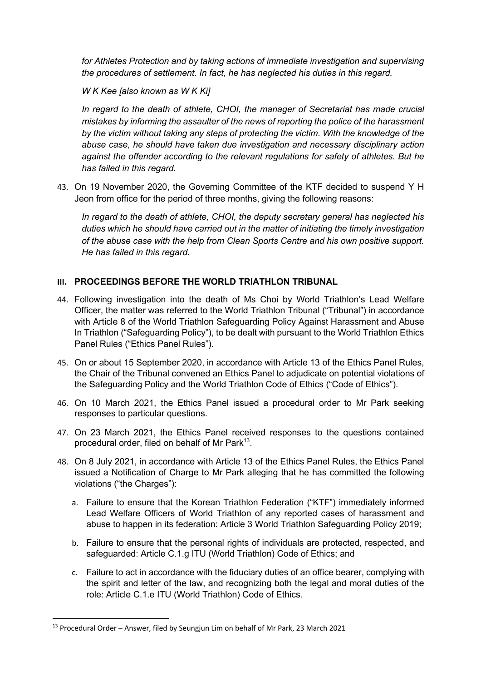*for Athletes Protection and by taking actions of immediate investigation and supervising the procedures of settlement. In fact, he has neglected his duties in this regard.*

*W K Kee [also known as W K Ki]*

*In regard to the death of athlete, CHOI, the manager of Secretariat has made crucial mistakes by informing the assaulter of the news of reporting the police of the harassment by the victim without taking any steps of protecting the victim. With the knowledge of the abuse case, he should have taken due investigation and necessary disciplinary action against the offender according to the relevant regulations for safety of athletes. But he has failed in this regard.*

43. On 19 November 2020, the Governing Committee of the KTF decided to suspend Y H Jeon from office for the period of three months, giving the following reasons:

*In regard to the death of athlete, CHOI, the deputy secretary general has neglected his duties which he should have carried out in the matter of initiating the timely investigation of the abuse case with the help from Clean Sports Centre and his own positive support. He has failed in this regard.*

#### **III. PROCEEDINGS BEFORE THE WORLD TRIATHLON TRIBUNAL**

- 44. Following investigation into the death of Ms Choi by World Triathlon's Lead Welfare Officer, the matter was referred to the World Triathlon Tribunal ("Tribunal") in accordance with Article 8 of the World Triathlon Safeguarding Policy Against Harassment and Abuse In Triathlon ("Safeguarding Policy"), to be dealt with pursuant to the World Triathlon Ethics Panel Rules ("Ethics Panel Rules").
- 45. On or about 15 September 2020, in accordance with Article 13 of the Ethics Panel Rules, the Chair of the Tribunal convened an Ethics Panel to adjudicate on potential violations of the Safeguarding Policy and the World Triathlon Code of Ethics ("Code of Ethics").
- 46. On 10 March 2021, the Ethics Panel issued a procedural order to Mr Park seeking responses to particular questions.
- 47. On 23 March 2021, the Ethics Panel received responses to the questions contained procedural order, filed on behalf of Mr Park<sup>13</sup>.
- 48. On 8 July 2021, in accordance with Article 13 of the Ethics Panel Rules, the Ethics Panel issued a Notification of Charge to Mr Park alleging that he has committed the following violations ("the Charges"):
	- a. Failure to ensure that the Korean Triathlon Federation ("KTF") immediately informed Lead Welfare Officers of World Triathlon of any reported cases of harassment and abuse to happen in its federation: Article 3 World Triathlon Safeguarding Policy 2019;
	- b. Failure to ensure that the personal rights of individuals are protected, respected, and safeguarded: Article C.1.g ITU (World Triathlon) Code of Ethics; and
	- c. Failure to act in accordance with the fiduciary duties of an office bearer, complying with the spirit and letter of the law, and recognizing both the legal and moral duties of the role: Article C.1.e ITU (World Triathlon) Code of Ethics.

 $13$  Procedural Order – Answer, filed by Seungjun Lim on behalf of Mr Park, 23 March 2021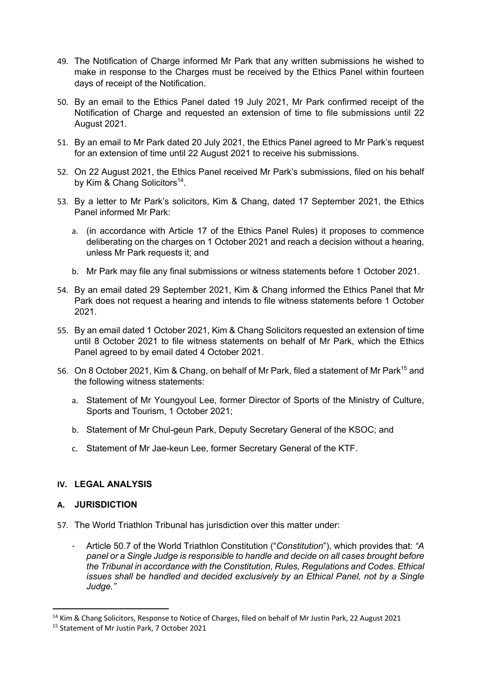- 49. The Notification of Charge informed Mr Park that any written submissions he wished to make in response to the Charges must be received by the Ethics Panel within fourteen days of receipt of the Notification.
- 50. By an email to the Ethics Panel dated 19 July 2021, Mr Park confirmed receipt of the Notification of Charge and requested an extension of time to file submissions until 22 August 2021.
- 51. By an email to Mr Park dated 20 July 2021, the Ethics Panel agreed to Mr Park's request for an extension of time until 22 August 2021 to receive his submissions.
- 52. On 22 August 2021, the Ethics Panel received Mr Park's submissions, filed on his behalf by Kim & Chang Solicitors<sup>14</sup>.
- 53. By a letter to Mr Park's solicitors, Kim & Chang, dated 17 September 2021, the Ethics Panel informed Mr Park:
	- a. (in accordance with Article 17 of the Ethics Panel Rules) it proposes to commence deliberating on the charges on 1 October 2021 and reach a decision without a hearing, unless Mr Park requests it; and
	- b. Mr Park may file any final submissions or witness statements before 1 October 2021.
- 54. By an email dated 29 September 2021, Kim & Chang informed the Ethics Panel that Mr Park does not request a hearing and intends to file witness statements before 1 October 2021.
- 55. By an email dated 1 October 2021, Kim & Chang Solicitors requested an extension of time until 8 October 2021 to file witness statements on behalf of Mr Park, which the Ethics Panel agreed to by email dated 4 October 2021.
- 56. On 8 October 2021, Kim & Chang, on behalf of Mr Park, filed a statement of Mr Park<sup>15</sup> and the following witness statements:
	- a. Statement of Mr Youngyoul Lee, former Director of Sports of the Ministry of Culture, Sports and Tourism, 1 October 2021;
	- b. Statement of Mr Chul-geun Park, Deputy Secretary General of the KSOC; and
	- c. Statement of Mr Jae-keun Lee, former Secretary General of the KTF.

#### **IV. LEGAL ANALYSIS**

#### **A. JURISDICTION**

- 57. The World Triathlon Tribunal has jurisdiction over this matter under:
	- Article 50.7 of the World Triathlon Constitution ("*Constitution*"), which provides that: *"A panel or a Single Judge is responsible to handle and decide on all cases brought before the Tribunal in accordance with the Constitution, Rules, Regulations and Codes. Ethical issues shall be handled and decided exclusively by an Ethical Panel, not by a Single Judge."*

<sup>&</sup>lt;sup>14</sup> Kim & Chang Solicitors, Response to Notice of Charges, filed on behalf of Mr Justin Park, 22 August 2021

<sup>15</sup> Statement of Mr Justin Park, 7 October 2021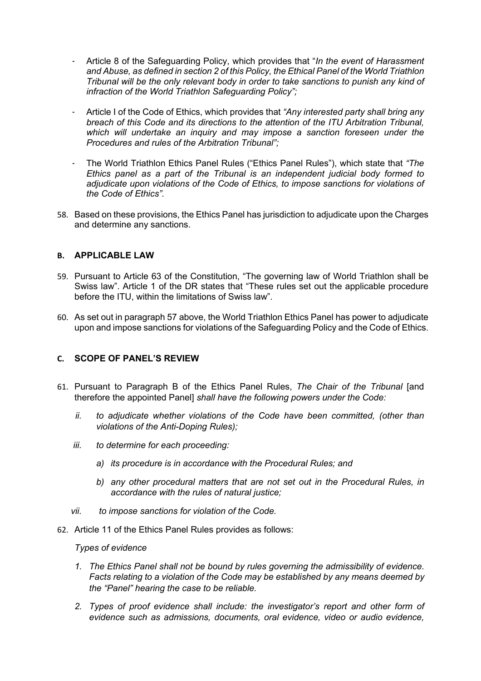- Article 8 of the Safeguarding Policy, which provides that "*In the event of Harassment and Abuse, as defined in section 2 of this Policy, the Ethical Panel of the World Triathlon Tribunal will be the only relevant body in order to take sanctions to punish any kind of infraction of the World Triathlon Safeguarding Policy";*
- Article I of the Code of Ethics, which provides that *"Any interested party shall bring any breach of this Code and its directions to the attention of the ITU Arbitration Tribunal, which will undertake an inquiry and may impose a sanction foreseen under the Procedures and rules of the Arbitration Tribunal";*
- The World Triathlon Ethics Panel Rules ("Ethics Panel Rules"), which state that *"The Ethics panel as a part of the Tribunal is an independent judicial body formed to adjudicate upon violations of the Code of Ethics, to impose sanctions for violations of the Code of Ethics".*
- 58. Based on these provisions, the Ethics Panel has jurisdiction to adjudicate upon the Charges and determine any sanctions.

#### **B. APPLICABLE LAW**

- 59. Pursuant to Article 63 of the Constitution, "The governing law of World Triathlon shall be Swiss law". Article 1 of the DR states that "These rules set out the applicable procedure before the ITU, within the limitations of Swiss law".
- 60. As set out in paragraph 57 above, the World Triathlon Ethics Panel has power to adjudicate upon and impose sanctions for violations of the Safeguarding Policy and the Code of Ethics.

#### **C. SCOPE OF PANEL'S REVIEW**

- 61. Pursuant to Paragraph B of the Ethics Panel Rules, *The Chair of the Tribunal* [and therefore the appointed Panel] *shall have the following powers under the Code:*
	- *ii. to adjudicate whether violations of the Code have been committed, (other than violations of the Anti-Doping Rules);*
	- *iii. to determine for each proceeding:*
		- *a) its procedure is in accordance with the Procedural Rules; and*
		- *b) any other procedural matters that are not set out in the Procedural Rules, in accordance with the rules of natural justice;*
	- *vii. to impose sanctions for violation of the Code.*
- 62. Article 11 of the Ethics Panel Rules provides as follows:

#### *Types of evidence*

- *1. The Ethics Panel shall not be bound by rules governing the admissibility of evidence. Facts relating to a violation of the Code may be established by any means deemed by the "Panel" hearing the case to be reliable.*
- *2. Types of proof evidence shall include: the investigator's report and other form of evidence such as admissions, documents, oral evidence, video or audio evidence,*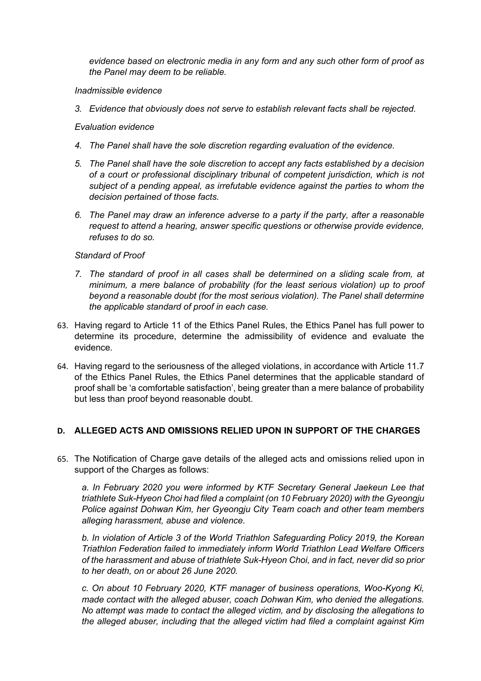*evidence based on electronic media in any form and any such other form of proof as the Panel may deem to be reliable.*

#### *Inadmissible evidence*

*3. Evidence that obviously does not serve to establish relevant facts shall be rejected.*

#### *Evaluation evidence*

- *4. The Panel shall have the sole discretion regarding evaluation of the evidence.*
- *5. The Panel shall have the sole discretion to accept any facts established by a decision of a court or professional disciplinary tribunal of competent jurisdiction, which is not subject of a pending appeal, as irrefutable evidence against the parties to whom the decision pertained of those facts.*
- *6. The Panel may draw an inference adverse to a party if the party, after a reasonable request to attend a hearing, answer specific questions or otherwise provide evidence, refuses to do so.*

#### *Standard of Proof*

- *7. The standard of proof in all cases shall be determined on a sliding scale from, at minimum, a mere balance of probability (for the least serious violation) up to proof beyond a reasonable doubt (for the most serious violation). The Panel shall determine the applicable standard of proof in each case.*
- 63. Having regard to Article 11 of the Ethics Panel Rules, the Ethics Panel has full power to determine its procedure, determine the admissibility of evidence and evaluate the evidence.
- 64. Having regard to the seriousness of the alleged violations, in accordance with Article 11.7 of the Ethics Panel Rules, the Ethics Panel determines that the applicable standard of proof shall be 'a comfortable satisfaction', being greater than a mere balance of probability but less than proof beyond reasonable doubt.

#### **D. ALLEGED ACTS AND OMISSIONS RELIED UPON IN SUPPORT OF THE CHARGES**

65. The Notification of Charge gave details of the alleged acts and omissions relied upon in support of the Charges as follows:

*a. In February 2020 you were informed by KTF Secretary General Jaekeun Lee that triathlete Suk-Hyeon Choi had filed a complaint (on 10 February 2020) with the Gyeongju Police against Dohwan Kim, her Gyeongju City Team coach and other team members alleging harassment, abuse and violence.* 

*b. In violation of Article 3 of the World Triathlon Safeguarding Policy 2019, the Korean Triathlon Federation failed to immediately inform World Triathlon Lead Welfare Officers of the harassment and abuse of triathlete Suk-Hyeon Choi, and in fact, never did so prior to her death, on or about 26 June 2020.* 

*c. On about 10 February 2020, KTF manager of business operations, Woo-Kyong Ki, made contact with the alleged abuser, coach Dohwan Kim, who denied the allegations. No attempt was made to contact the alleged victim, and by disclosing the allegations to the alleged abuser, including that the alleged victim had filed a complaint against Kim*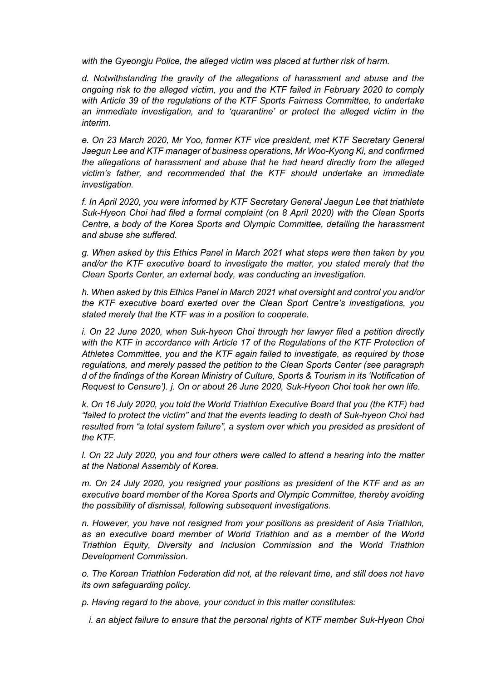*with the Gyeongju Police, the alleged victim was placed at further risk of harm.* 

*d. Notwithstanding the gravity of the allegations of harassment and abuse and the ongoing risk to the alleged victim, you and the KTF failed in February 2020 to comply with Article 39 of the regulations of the KTF Sports Fairness Committee, to undertake an immediate investigation, and to 'quarantine' or protect the alleged victim in the interim.* 

*e. On 23 March 2020, Mr Yoo, former KTF vice president, met KTF Secretary General Jaegun Lee and KTF manager of business operations, Mr Woo-Kyong Ki, and confirmed the allegations of harassment and abuse that he had heard directly from the alleged victim's father, and recommended that the KTF should undertake an immediate investigation.* 

*f. In April 2020, you were informed by KTF Secretary General Jaegun Lee that triathlete Suk-Hyeon Choi had filed a formal complaint (on 8 April 2020) with the Clean Sports Centre, a body of the Korea Sports and Olympic Committee, detailing the harassment and abuse she suffered.* 

*g. When asked by this Ethics Panel in March 2021 what steps were then taken by you and/or the KTF executive board to investigate the matter, you stated merely that the Clean Sports Center, an external body, was conducting an investigation.* 

*h. When asked by this Ethics Panel in March 2021 what oversight and control you and/or the KTF executive board exerted over the Clean Sport Centre's investigations, you stated merely that the KTF was in a position to cooperate.* 

*i. On 22 June 2020, when Suk-hyeon Choi through her lawyer filed a petition directly with the KTF in accordance with Article 17 of the Regulations of the KTF Protection of Athletes Committee, you and the KTF again failed to investigate, as required by those regulations, and merely passed the petition to the Clean Sports Center (see paragraph d of the findings of the Korean Ministry of Culture, Sports & Tourism in its 'Notification of Request to Censure'). j. On or about 26 June 2020, Suk-Hyeon Choi took her own life.* 

*k. On 16 July 2020, you told the World Triathlon Executive Board that you (the KTF) had "failed to protect the victim" and that the events leading to death of Suk-hyeon Choi had resulted from "a total system failure", a system over which you presided as president of the KTF.* 

*l. On 22 July 2020, you and four others were called to attend a hearing into the matter at the National Assembly of Korea.* 

*m. On 24 July 2020, you resigned your positions as president of the KTF and as an executive board member of the Korea Sports and Olympic Committee, thereby avoiding the possibility of dismissal, following subsequent investigations.* 

*n. However, you have not resigned from your positions as president of Asia Triathlon, as an executive board member of World Triathlon and as a member of the World Triathlon Equity, Diversity and Inclusion Commission and the World Triathlon Development Commission.* 

*o. The Korean Triathlon Federation did not, at the relevant time, and still does not have its own safeguarding policy.* 

*p. Having regard to the above, your conduct in this matter constitutes:*

*i. an abject failure to ensure that the personal rights of KTF member Suk-Hyeon Choi*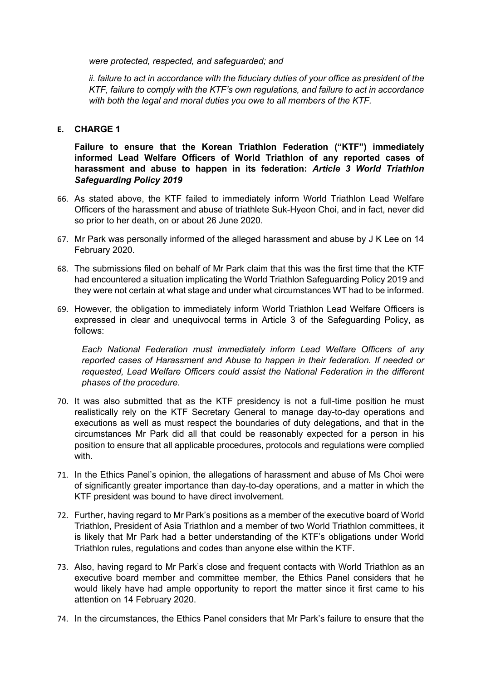*were protected, respected, and safeguarded; and* 

*ii. failure to act in accordance with the fiduciary duties of your office as president of the KTF, failure to comply with the KTF's own regulations, and failure to act in accordance with both the legal and moral duties you owe to all members of the KTF.* 

#### **E. CHARGE 1**

**Failure to ensure that the Korean Triathlon Federation ("KTF") immediately informed Lead Welfare Officers of World Triathlon of any reported cases of harassment and abuse to happen in its federation:** *Article 3 World Triathlon Safeguarding Policy 2019*

- 66. As stated above, the KTF failed to immediately inform World Triathlon Lead Welfare Officers of the harassment and abuse of triathlete Suk-Hyeon Choi, and in fact, never did so prior to her death, on or about 26 June 2020.
- 67. Mr Park was personally informed of the alleged harassment and abuse by J K Lee on 14 February 2020.
- 68. The submissions filed on behalf of Mr Park claim that this was the first time that the KTF had encountered a situation implicating the World Triathlon Safeguarding Policy 2019 and they were not certain at what stage and under what circumstances WT had to be informed.
- 69. However, the obligation to immediately inform World Triathlon Lead Welfare Officers is expressed in clear and unequivocal terms in Article 3 of the Safeguarding Policy, as follows:

*Each National Federation must immediately inform Lead Welfare Officers of any reported cases of Harassment and Abuse to happen in their federation. If needed or requested, Lead Welfare Officers could assist the National Federation in the different phases of the procedure.*

- 70. It was also submitted that as the KTF presidency is not a full-time position he must realistically rely on the KTF Secretary General to manage day-to-day operations and executions as well as must respect the boundaries of duty delegations, and that in the circumstances Mr Park did all that could be reasonably expected for a person in his position to ensure that all applicable procedures, protocols and regulations were complied with.
- 71. In the Ethics Panel's opinion, the allegations of harassment and abuse of Ms Choi were of significantly greater importance than day-to-day operations, and a matter in which the KTF president was bound to have direct involvement.
- 72. Further, having regard to Mr Park's positions as a member of the executive board of World Triathlon, President of Asia Triathlon and a member of two World Triathlon committees, it is likely that Mr Park had a better understanding of the KTF's obligations under World Triathlon rules, regulations and codes than anyone else within the KTF.
- 73. Also, having regard to Mr Park's close and frequent contacts with World Triathlon as an executive board member and committee member, the Ethics Panel considers that he would likely have had ample opportunity to report the matter since it first came to his attention on 14 February 2020.
- 74. In the circumstances, the Ethics Panel considers that Mr Park's failure to ensure that the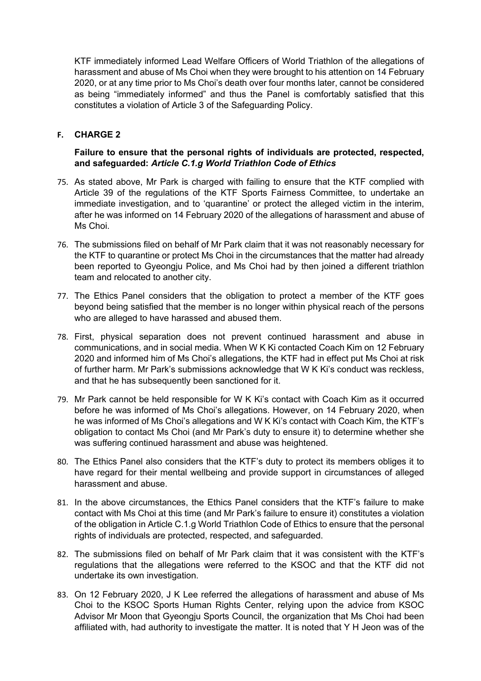KTF immediately informed Lead Welfare Officers of World Triathlon of the allegations of harassment and abuse of Ms Choi when they were brought to his attention on 14 February 2020, or at any time prior to Ms Choi's death over four months later, cannot be considered as being "immediately informed" and thus the Panel is comfortably satisfied that this constitutes a violation of Article 3 of the Safeguarding Policy.

#### **F. CHARGE 2**

#### **Failure to ensure that the personal rights of individuals are protected, respected, and safeguarded:** *Article C.1.g World Triathlon Code of Ethics*

- 75. As stated above, Mr Park is charged with failing to ensure that the KTF complied with Article 39 of the regulations of the KTF Sports Fairness Committee, to undertake an immediate investigation, and to 'quarantine' or protect the alleged victim in the interim, after he was informed on 14 February 2020 of the allegations of harassment and abuse of Ms Choi.
- 76. The submissions filed on behalf of Mr Park claim that it was not reasonably necessary for the KTF to quarantine or protect Ms Choi in the circumstances that the matter had already been reported to Gyeongju Police, and Ms Choi had by then joined a different triathlon team and relocated to another city.
- 77. The Ethics Panel considers that the obligation to protect a member of the KTF goes beyond being satisfied that the member is no longer within physical reach of the persons who are alleged to have harassed and abused them.
- 78. First, physical separation does not prevent continued harassment and abuse in communications, and in social media. When W K Ki contacted Coach Kim on 12 February 2020 and informed him of Ms Choi's allegations, the KTF had in effect put Ms Choi at risk of further harm. Mr Park's submissions acknowledge that W K Ki's conduct was reckless, and that he has subsequently been sanctioned for it.
- 79. Mr Park cannot be held responsible for W K Ki's contact with Coach Kim as it occurred before he was informed of Ms Choi's allegations. However, on 14 February 2020, when he was informed of Ms Choi's allegations and W K Ki's contact with Coach Kim, the KTF's obligation to contact Ms Choi (and Mr Park's duty to ensure it) to determine whether she was suffering continued harassment and abuse was heightened.
- 80. The Ethics Panel also considers that the KTF's duty to protect its members obliges it to have regard for their mental wellbeing and provide support in circumstances of alleged harassment and abuse.
- 81. In the above circumstances, the Ethics Panel considers that the KTF's failure to make contact with Ms Choi at this time (and Mr Park's failure to ensure it) constitutes a violation of the obligation in Article C.1.g World Triathlon Code of Ethics to ensure that the personal rights of individuals are protected, respected, and safeguarded.
- 82. The submissions filed on behalf of Mr Park claim that it was consistent with the KTF's regulations that the allegations were referred to the KSOC and that the KTF did not undertake its own investigation.
- 83. On 12 February 2020, J K Lee referred the allegations of harassment and abuse of Ms Choi to the KSOC Sports Human Rights Center, relying upon the advice from KSOC Advisor Mr Moon that Gyeongju Sports Council, the organization that Ms Choi had been affiliated with, had authority to investigate the matter. It is noted that Y H Jeon was of the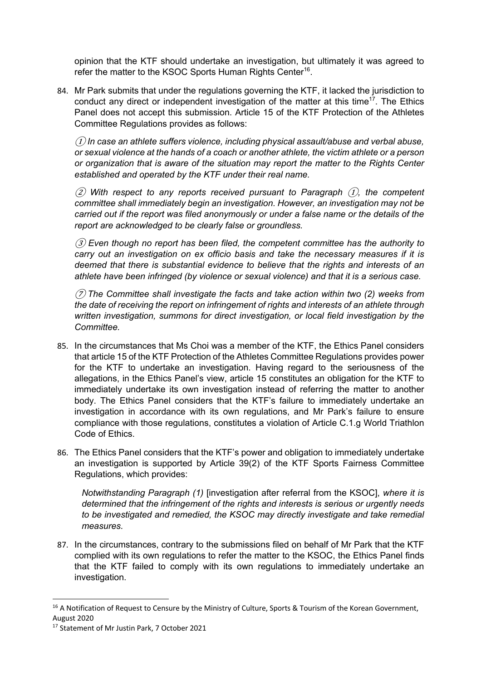opinion that the KTF should undertake an investigation, but ultimately it was agreed to refer the matter to the KSOC Sports Human Rights Center<sup>16</sup>.

84. Mr Park submits that under the regulations governing the KTF, it lacked the jurisdiction to conduct any direct or independent investigation of the matter at this time<sup>17</sup>. The Ethics Panel does not accept this submission. Article 15 of the KTF Protection of the Athletes Committee Regulations provides as follows:

① *In case an athlete suffers violence, including physical assault/abuse and verbal abuse, or sexual violence at the hands of a coach or another athlete, the victim athlete or a person or organization that is aware of the situation may report the matter to the Rights Center established and operated by the KTF under their real name.*

② *With respect to any reports received pursuant to Paragraph* ①*, the competent committee shall immediately begin an investigation. However, an investigation may not be carried out if the report was filed anonymously or under a false name or the details of the report are acknowledged to be clearly false or groundless.*

③ *Even though no report has been filed, the competent committee has the authority to carry out an investigation on ex officio basis and take the necessary measures if it is deemed that there is substantial evidence to believe that the rights and interests of an athlete have been infringed (by violence or sexual violence) and that it is a serious case.*

⑦ *The Committee shall investigate the facts and take action within two (2) weeks from the date of receiving the report on infringement of rights and interests of an athlete through written investigation, summons for direct investigation, or local field investigation by the Committee.*

- 85. In the circumstances that Ms Choi was a member of the KTF, the Ethics Panel considers that article 15 of the KTF Protection of the Athletes Committee Regulations provides power for the KTF to undertake an investigation. Having regard to the seriousness of the allegations, in the Ethics Panel's view, article 15 constitutes an obligation for the KTF to immediately undertake its own investigation instead of referring the matter to another body. The Ethics Panel considers that the KTF's failure to immediately undertake an investigation in accordance with its own regulations, and Mr Park's failure to ensure compliance with those regulations, constitutes a violation of Article C.1.g World Triathlon Code of Ethics.
- 86. The Ethics Panel considers that the KTF's power and obligation to immediately undertake an investigation is supported by Article 39(2) of the KTF Sports Fairness Committee Regulations, which provides:

*Notwithstanding Paragraph (1)* [investigation after referral from the KSOC], *where it is determined that the infringement of the rights and interests is serious or urgently needs to be investigated and remedied, the KSOC may directly investigate and take remedial measures.*

87. In the circumstances, contrary to the submissions filed on behalf of Mr Park that the KTF complied with its own regulations to refer the matter to the KSOC, the Ethics Panel finds that the KTF failed to comply with its own regulations to immediately undertake an investigation.

<sup>&</sup>lt;sup>16</sup> A Notification of Request to Censure by the Ministry of Culture, Sports & Tourism of the Korean Government, August 2020

<sup>&</sup>lt;sup>17</sup> Statement of Mr Justin Park, 7 October 2021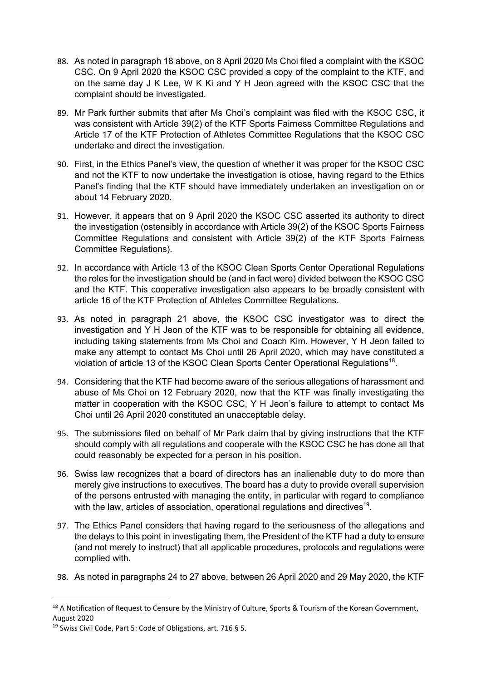- 88. As noted in paragraph 18 above, on 8 April 2020 Ms Choi filed a complaint with the KSOC CSC. On 9 April 2020 the KSOC CSC provided a copy of the complaint to the KTF, and on the same day J K Lee, W K Ki and Y H Jeon agreed with the KSOC CSC that the complaint should be investigated.
- 89. Mr Park further submits that after Ms Choi's complaint was filed with the KSOC CSC, it was consistent with Article 39(2) of the KTF Sports Fairness Committee Regulations and Article 17 of the KTF Protection of Athletes Committee Regulations that the KSOC CSC undertake and direct the investigation.
- 90. First, in the Ethics Panel's view, the question of whether it was proper for the KSOC CSC and not the KTF to now undertake the investigation is otiose, having regard to the Ethics Panel's finding that the KTF should have immediately undertaken an investigation on or about 14 February 2020.
- 91. However, it appears that on 9 April 2020 the KSOC CSC asserted its authority to direct the investigation (ostensibly in accordance with Article 39(2) of the KSOC Sports Fairness Committee Regulations and consistent with Article 39(2) of the KTF Sports Fairness Committee Regulations).
- 92. In accordance with Article 13 of the KSOC Clean Sports Center Operational Regulations the roles for the investigation should be (and in fact were) divided between the KSOC CSC and the KTF. This cooperative investigation also appears to be broadly consistent with article 16 of the KTF Protection of Athletes Committee Regulations.
- 93. As noted in paragraph 21 above, the KSOC CSC investigator was to direct the investigation and Y H Jeon of the KTF was to be responsible for obtaining all evidence, including taking statements from Ms Choi and Coach Kim. However, Y H Jeon failed to make any attempt to contact Ms Choi until 26 April 2020, which may have constituted a violation of article 13 of the KSOC Clean Sports Center Operational Regulations<sup>18</sup>.
- 94. Considering that the KTF had become aware of the serious allegations of harassment and abuse of Ms Choi on 12 February 2020, now that the KTF was finally investigating the matter in cooperation with the KSOC CSC, Y H Jeon's failure to attempt to contact Ms Choi until 26 April 2020 constituted an unacceptable delay.
- 95. The submissions filed on behalf of Mr Park claim that by giving instructions that the KTF should comply with all regulations and cooperate with the KSOC CSC he has done all that could reasonably be expected for a person in his position.
- 96. Swiss law recognizes that a board of directors has an inalienable duty to do more than merely give instructions to executives. The board has a duty to provide overall supervision of the persons entrusted with managing the entity, in particular with regard to compliance with the law, articles of association, operational regulations and directives<sup>19</sup>.
- 97. The Ethics Panel considers that having regard to the seriousness of the allegations and the delays to this point in investigating them, the President of the KTF had a duty to ensure (and not merely to instruct) that all applicable procedures, protocols and regulations were complied with.
- 98. As noted in paragraphs 24 to 27 above, between 26 April 2020 and 29 May 2020, the KTF

<sup>&</sup>lt;sup>18</sup> A Notification of Request to Censure by the Ministry of Culture, Sports & Tourism of the Korean Government, August 2020

<sup>&</sup>lt;sup>19</sup> Swiss Civil Code, Part 5: Code of Obligations, art. 716 § 5.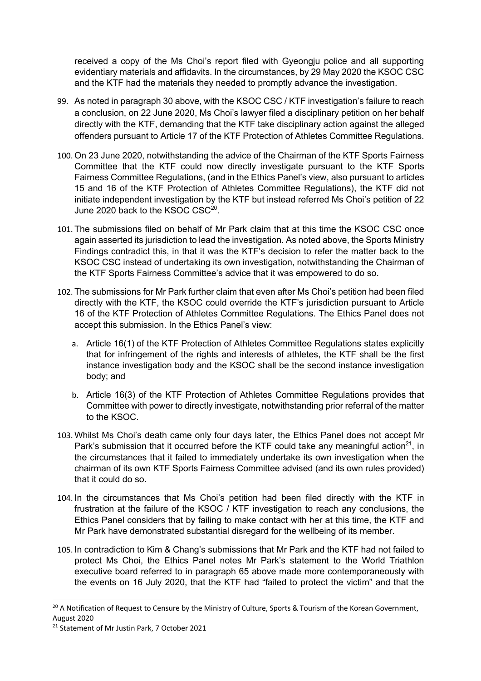received a copy of the Ms Choi's report filed with Gyeongju police and all supporting evidentiary materials and affidavits. In the circumstances, by 29 May 2020 the KSOC CSC and the KTF had the materials they needed to promptly advance the investigation.

- 99. As noted in paragraph 30 above, with the KSOC CSC / KTF investigation's failure to reach a conclusion, on 22 June 2020, Ms Choi's lawyer filed a disciplinary petition on her behalf directly with the KTF, demanding that the KTF take disciplinary action against the alleged offenders pursuant to Article 17 of the KTF Protection of Athletes Committee Regulations.
- 100. On 23 June 2020, notwithstanding the advice of the Chairman of the KTF Sports Fairness Committee that the KTF could now directly investigate pursuant to the KTF Sports Fairness Committee Regulations, (and in the Ethics Panel's view, also pursuant to articles 15 and 16 of the KTF Protection of Athletes Committee Regulations), the KTF did not initiate independent investigation by the KTF but instead referred Ms Choi's petition of 22 June 2020 back to the KSOC CSC<sup>20</sup>
- 101. The submissions filed on behalf of Mr Park claim that at this time the KSOC CSC once again asserted its jurisdiction to lead the investigation. As noted above, the Sports Ministry Findings contradict this, in that it was the KTF's decision to refer the matter back to the KSOC CSC instead of undertaking its own investigation, notwithstanding the Chairman of the KTF Sports Fairness Committee's advice that it was empowered to do so.
- 102. The submissions for Mr Park further claim that even after Ms Choi's petition had been filed directly with the KTF, the KSOC could override the KTF's jurisdiction pursuant to Article 16 of the KTF Protection of Athletes Committee Regulations. The Ethics Panel does not accept this submission. In the Ethics Panel's view:
	- a. Article 16(1) of the KTF Protection of Athletes Committee Regulations states explicitly that for infringement of the rights and interests of athletes, the KTF shall be the first instance investigation body and the KSOC shall be the second instance investigation body; and
	- b. Article 16(3) of the KTF Protection of Athletes Committee Regulations provides that Committee with power to directly investigate, notwithstanding prior referral of the matter to the KSOC.
- 103. Whilst Ms Choi's death came only four days later, the Ethics Panel does not accept Mr Park's submission that it occurred before the KTF could take any meaningful action<sup>21</sup>, in the circumstances that it failed to immediately undertake its own investigation when the chairman of its own KTF Sports Fairness Committee advised (and its own rules provided) that it could do so.
- 104. In the circumstances that Ms Choi's petition had been filed directly with the KTF in frustration at the failure of the KSOC / KTF investigation to reach any conclusions, the Ethics Panel considers that by failing to make contact with her at this time, the KTF and Mr Park have demonstrated substantial disregard for the wellbeing of its member.
- 105. In contradiction to Kim & Chang's submissions that Mr Park and the KTF had not failed to protect Ms Choi, the Ethics Panel notes Mr Park's statement to the World Triathlon executive board referred to in paragraph 65 above made more contemporaneously with the events on 16 July 2020, that the KTF had "failed to protect the victim" and that the

<sup>&</sup>lt;sup>20</sup> A Notification of Request to Censure by the Ministry of Culture, Sports & Tourism of the Korean Government, August 2020

<sup>&</sup>lt;sup>21</sup> Statement of Mr Justin Park, 7 October 2021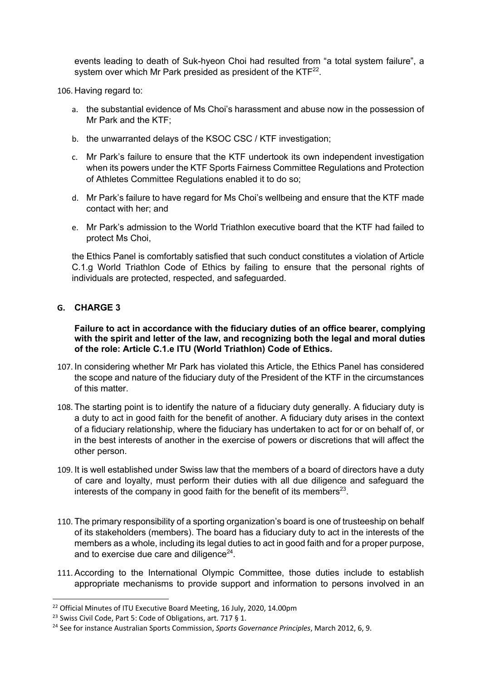events leading to death of Suk-hyeon Choi had resulted from "a total system failure", a system over which Mr Park presided as president of the  $KTF^{22}$ .

106. Having regard to:

- a. the substantial evidence of Ms Choi's harassment and abuse now in the possession of Mr Park and the KTF;
- b. the unwarranted delays of the KSOC CSC / KTF investigation;
- c. Mr Park's failure to ensure that the KTF undertook its own independent investigation when its powers under the KTF Sports Fairness Committee Regulations and Protection of Athletes Committee Regulations enabled it to do so;
- d. Mr Park's failure to have regard for Ms Choi's wellbeing and ensure that the KTF made contact with her; and
- e. Mr Park's admission to the World Triathlon executive board that the KTF had failed to protect Ms Choi,

the Ethics Panel is comfortably satisfied that such conduct constitutes a violation of Article C.1.g World Triathlon Code of Ethics by failing to ensure that the personal rights of individuals are protected, respected, and safeguarded.

#### **G. CHARGE 3**

**Failure to act in accordance with the fiduciary duties of an office bearer, complying with the spirit and letter of the law, and recognizing both the legal and moral duties of the role: Article C.1.e ITU (World Triathlon) Code of Ethics.**

- 107. In considering whether Mr Park has violated this Article, the Ethics Panel has considered the scope and nature of the fiduciary duty of the President of the KTF in the circumstances of this matter.
- 108. The starting point is to identify the nature of a fiduciary duty generally. A fiduciary duty is a duty to act in good faith for the benefit of another. A fiduciary duty arises in the context of a fiduciary relationship, where the fiduciary has undertaken to act for or on behalf of, or in the best interests of another in the exercise of powers or discretions that will affect the other person.
- 109. It is well established under Swiss law that the members of a board of directors have a duty of care and loyalty, must perform their duties with all due diligence and safeguard the interests of the company in good faith for the benefit of its members<sup>23</sup>.
- 110. The primary responsibility of a sporting organization's board is one of trusteeship on behalf of its stakeholders (members). The board has a fiduciary duty to act in the interests of the members as a whole, including its legal duties to act in good faith and for a proper purpose, and to exercise due care and diligence $24$ .
- 111. According to the International Olympic Committee, those duties include to establish appropriate mechanisms to provide support and information to persons involved in an

<sup>&</sup>lt;sup>22</sup> Official Minutes of ITU Executive Board Meeting, 16 July, 2020, 14.00pm

<sup>&</sup>lt;sup>23</sup> Swiss Civil Code, Part 5: Code of Obligations, art. 717 § 1.

<sup>24</sup> See for instance Australian Sports Commission, *Sports Governance Principles*, March 2012, 6, 9.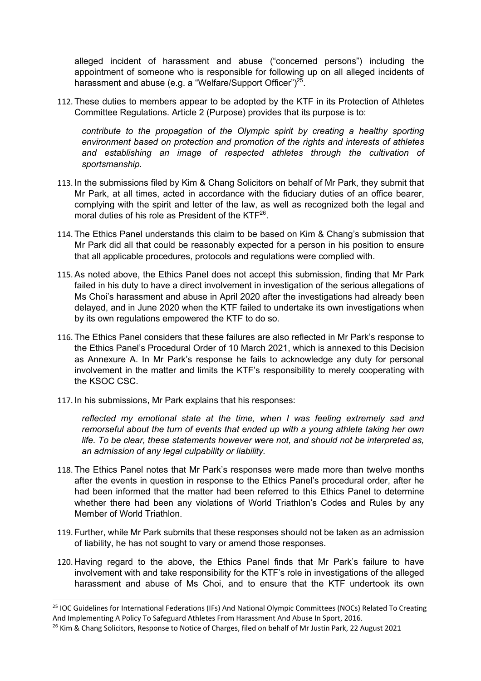alleged incident of harassment and abuse ("concerned persons") including the appointment of someone who is responsible for following up on all alleged incidents of harassment and abuse (e.g. a "Welfare/Support Officer")<sup>25</sup>.

112. These duties to members appear to be adopted by the KTF in its Protection of Athletes Committee Regulations. Article 2 (Purpose) provides that its purpose is to:

*contribute to the propagation of the Olympic spirit by creating a healthy sporting environment based on protection and promotion of the rights and interests of athletes and establishing an image of respected athletes through the cultivation of sportsmanship.*

- 113. In the submissions filed by Kim & Chang Solicitors on behalf of Mr Park, they submit that Mr Park, at all times, acted in accordance with the fiduciary duties of an office bearer, complying with the spirit and letter of the law, as well as recognized both the legal and moral duties of his role as President of the KTF<sup>26</sup>.
- 114. The Ethics Panel understands this claim to be based on Kim & Chang's submission that Mr Park did all that could be reasonably expected for a person in his position to ensure that all applicable procedures, protocols and regulations were complied with.
- 115. As noted above, the Ethics Panel does not accept this submission, finding that Mr Park failed in his duty to have a direct involvement in investigation of the serious allegations of Ms Choi's harassment and abuse in April 2020 after the investigations had already been delayed, and in June 2020 when the KTF failed to undertake its own investigations when by its own regulations empowered the KTF to do so.
- 116. The Ethics Panel considers that these failures are also reflected in Mr Park's response to the Ethics Panel's Procedural Order of 10 March 2021, which is annexed to this Decision as Annexure A. In Mr Park's response he fails to acknowledge any duty for personal involvement in the matter and limits the KTF's responsibility to merely cooperating with the KSOC CSC.
- 117. In his submissions, Mr Park explains that his responses:

*reflected my emotional state at the time, when I was feeling extremely sad and remorseful about the turn of events that ended up with a young athlete taking her own life. To be clear, these statements however were not, and should not be interpreted as, an admission of any legal culpability or liability.*

- 118. The Ethics Panel notes that Mr Park's responses were made more than twelve months after the events in question in response to the Ethics Panel's procedural order, after he had been informed that the matter had been referred to this Ethics Panel to determine whether there had been any violations of World Triathlon's Codes and Rules by any Member of World Triathlon.
- 119. Further, while Mr Park submits that these responses should not be taken as an admission of liability, he has not sought to vary or amend those responses.
- 120. Having regard to the above, the Ethics Panel finds that Mr Park's failure to have involvement with and take responsibility for the KTF's role in investigations of the alleged harassment and abuse of Ms Choi, and to ensure that the KTF undertook its own

<sup>&</sup>lt;sup>25</sup> IOC Guidelines for International Federations (IFs) And National Olympic Committees (NOCs) Related To Creating And Implementing A Policy To Safeguard Athletes From Harassment And Abuse In Sport, 2016.

<sup>&</sup>lt;sup>26</sup> Kim & Chang Solicitors, Response to Notice of Charges, filed on behalf of Mr Justin Park, 22 August 2021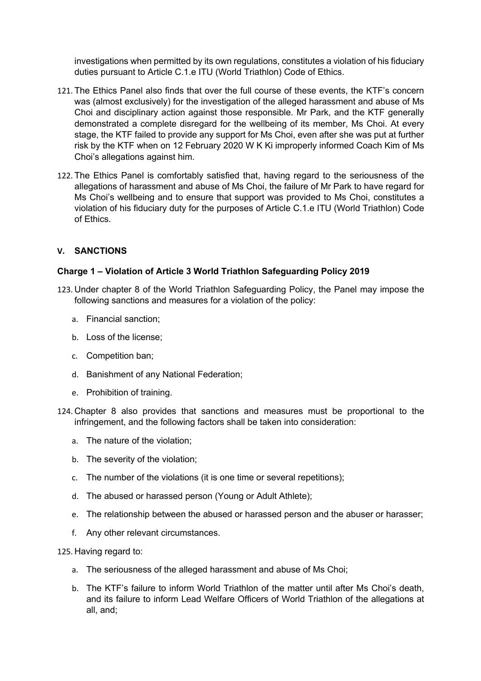investigations when permitted by its own regulations, constitutes a violation of his fiduciary duties pursuant to Article C.1.e ITU (World Triathlon) Code of Ethics.

- 121. The Ethics Panel also finds that over the full course of these events, the KTF's concern was (almost exclusively) for the investigation of the alleged harassment and abuse of Ms Choi and disciplinary action against those responsible. Mr Park, and the KTF generally demonstrated a complete disregard for the wellbeing of its member, Ms Choi. At every stage, the KTF failed to provide any support for Ms Choi, even after she was put at further risk by the KTF when on 12 February 2020 W K Ki improperly informed Coach Kim of Ms Choi's allegations against him.
- 122. The Ethics Panel is comfortably satisfied that, having regard to the seriousness of the allegations of harassment and abuse of Ms Choi, the failure of Mr Park to have regard for Ms Choi's wellbeing and to ensure that support was provided to Ms Choi, constitutes a violation of his fiduciary duty for the purposes of Article C.1.e ITU (World Triathlon) Code of Ethics.

#### **V. SANCTIONS**

#### **Charge 1 – Violation of Article 3 World Triathlon Safeguarding Policy 2019**

- 123. Under chapter 8 of the World Triathlon Safeguarding Policy, the Panel may impose the following sanctions and measures for a violation of the policy:
	- a. Financial sanction;
	- b. Loss of the license;
	- c. Competition ban;
	- d. Banishment of any National Federation;
	- e. Prohibition of training.
- 124. Chapter 8 also provides that sanctions and measures must be proportional to the infringement, and the following factors shall be taken into consideration:
	- a. The nature of the violation;
	- b. The severity of the violation;
	- c. The number of the violations (it is one time or several repetitions);
	- d. The abused or harassed person (Young or Adult Athlete);
	- e. The relationship between the abused or harassed person and the abuser or harasser;
	- f. Any other relevant circumstances.

125. Having regard to:

- a. The seriousness of the alleged harassment and abuse of Ms Choi;
- b. The KTF's failure to inform World Triathlon of the matter until after Ms Choi's death, and its failure to inform Lead Welfare Officers of World Triathlon of the allegations at all, and;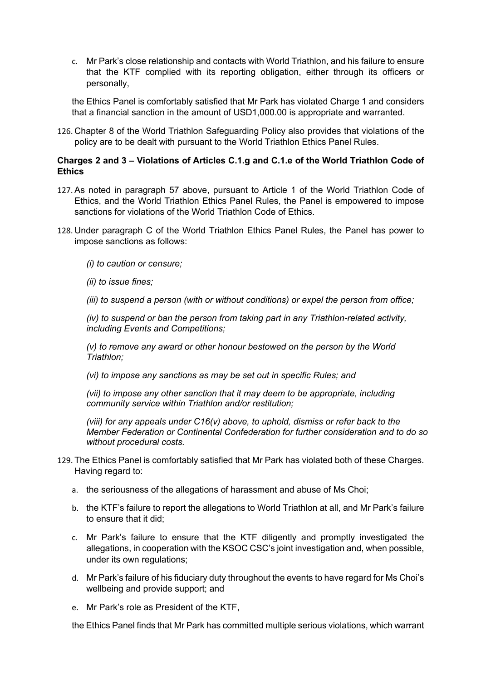c. Mr Park's close relationship and contacts with World Triathlon, and his failure to ensure that the KTF complied with its reporting obligation, either through its officers or personally,

the Ethics Panel is comfortably satisfied that Mr Park has violated Charge 1 and considers that a financial sanction in the amount of USD1,000.00 is appropriate and warranted.

126. Chapter 8 of the World Triathlon Safeguarding Policy also provides that violations of the policy are to be dealt with pursuant to the World Triathlon Ethics Panel Rules.

#### **Charges 2 and 3 – Violations of Articles C.1.g and C.1.e of the World Triathlon Code of Ethics**

- 127. As noted in paragraph 57 above, pursuant to Article 1 of the World Triathlon Code of Ethics, and the World Triathlon Ethics Panel Rules, the Panel is empowered to impose sanctions for violations of the World Triathlon Code of Ethics.
- 128. Under paragraph C of the World Triathlon Ethics Panel Rules, the Panel has power to impose sanctions as follows:

*(i) to caution or censure;* 

*(ii) to issue fines;* 

*(iii) to suspend a person (with or without conditions) or expel the person from office;* 

*(iv) to suspend or ban the person from taking part in any Triathlon-related activity, including Events and Competitions;* 

*(v) to remove any award or other honour bestowed on the person by the World Triathlon;* 

*(vi) to impose any sanctions as may be set out in specific Rules; and* 

*(vii) to impose any other sanction that it may deem to be appropriate, including community service within Triathlon and/or restitution;* 

*(viii) for any appeals under C16(v) above, to uphold, dismiss or refer back to the Member Federation or Continental Confederation for further consideration and to do so without procedural costs.* 

- 129. The Ethics Panel is comfortably satisfied that Mr Park has violated both of these Charges. Having regard to:
	- a. the seriousness of the allegations of harassment and abuse of Ms Choi;
	- b. the KTF's failure to report the allegations to World Triathlon at all, and Mr Park's failure to ensure that it did;
	- c. Mr Park's failure to ensure that the KTF diligently and promptly investigated the allegations, in cooperation with the KSOC CSC's joint investigation and, when possible, under its own regulations;
	- d. Mr Park's failure of his fiduciary duty throughout the events to have regard for Ms Choi's wellbeing and provide support; and
	- e. Mr Park's role as President of the KTF,

the Ethics Panel finds that Mr Park has committed multiple serious violations, which warrant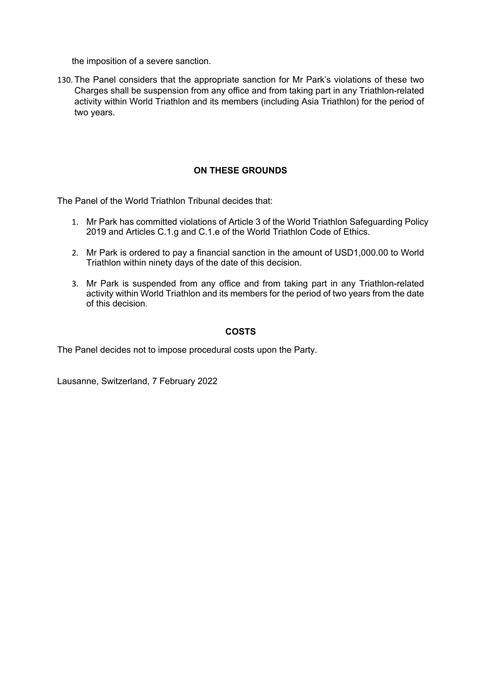the imposition of a severe sanction.

130. The Panel considers that the appropriate sanction for Mr Park's violations of these two Charges shall be suspension from any office and from taking part in any Triathlon-related activity within World Triathlon and its members (including Asia Triathlon) for the period of two years.

#### **ON THESE GROUNDS**

The Panel of the World Triathlon Tribunal decides that:

- 1. Mr Park has committed violations of Article 3 of the World Triathlon Safeguarding Policy 2019 and Articles C.1.g and C.1.e of the World Triathlon Code of Ethics.
- 2. Mr Park is ordered to pay a financial sanction in the amount of USD1,000.00 to World Triathlon within ninety days of the date of this decision.
- 3. Mr Park is suspended from any office and from taking part in any Triathlon-related activity within World Triathlon and its members for the period of two years from the date of this decision.

#### **COSTS**

The Panel decides not to impose procedural costs upon the Party.

Lausanne, Switzerland, 7 February 2022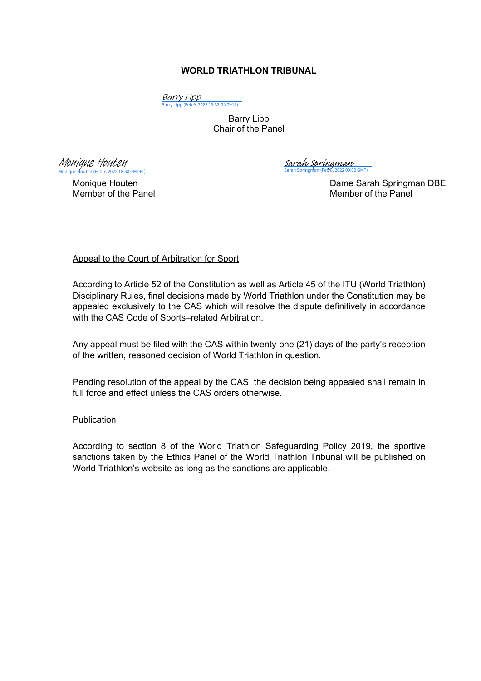#### **WORLD TRIATHLON TRIBUNAL**

<mark>Barry Lipp</mark><br>[Barry Lipp \(Feb 9, 2022 13:32 GMT+11\)](https://eu2.documents.adobe.com/verifier?tx=CBJCHBCAABAAZF9lPzLlQYjWOydSsDyyDDyAR7NudkJD)

Barry Lipp Chair of the Panel

Monique Houten (Feb 7, 2022 18:58 GMT+1) [Monique Houten](https://adobefreeuserschannel.eu2.documents.adobe.com/verifier?tx=CBJCHBCAABAAZF9lPzLlQYjWOydSsDyyDDyAR7NudkJD)

 $\overline{SO(GMT)}$ [Sarah Springman](https://eu2.documents.adobe.com/verifier?tx=CBJCHBCAABAAZF9lPzLlQYjWOydSsDyyDDyAR7NudkJD)

Monique Houten **Dame Sarah Springman DBE** Member of the Panel Member of the Panel

Appeal to the Court of Arbitration for Sport

According to Article 52 of the Constitution as well as Article 45 of the ITU (World Triathlon) Disciplinary Rules, final decisions made by World Triathlon under the Constitution may be appealed exclusively to the CAS which will resolve the dispute definitively in accordance with the CAS Code of Sports–related Arbitration.

Any appeal must be filed with the CAS within twenty-one (21) days of the party's reception of the written, reasoned decision of World Triathlon in question.

Pending resolution of the appeal by the CAS, the decision being appealed shall remain in full force and effect unless the CAS orders otherwise.

#### Publication

According to section 8 of the World Triathlon Safeguarding Policy 2019, the sportive sanctions taken by the Ethics Panel of the World Triathlon Tribunal will be published on World Triathlon's website as long as the sanctions are applicable.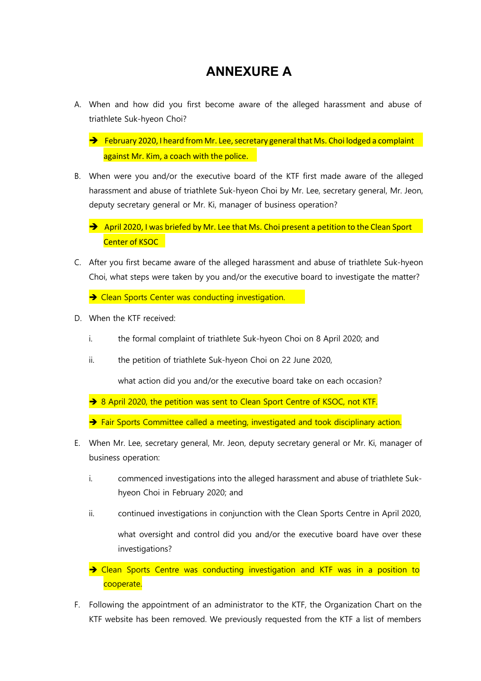## **ANNEXURE A**

- A. When and how did you first become aware of the alleged harassment and abuse of triathlete Suk-hyeon Choi?
	- against Mr. Kim, a coach with the police.  $\rightarrow$  February 2020, I heard from Mr. Lee, secretary general that Ms. Choi lodged a complaint
- B. When were you and/or the executive board of the KTF first made aware of the alleged harassment and abuse of triathlete Suk-hyeon Choi by Mr. Lee, secretary general, Mr. Jeon, deputy secretary general or Mr. Ki, manager of business operation?
	- Center of KSOC  $\rightarrow$  April 2020, I was briefed by Mr. Lee that Ms. Choi present a petition to the Clean Sport
- C. After you first became aware of the alleged harassment and abuse of triathlete Suk-hyeon Choi, what steps were taken by you and/or the executive board to investigate the matter?

 $\rightarrow$  Clean Sports Center was conducting investigation.

- D. When the KTF received:
	- i. the formal complaint of triathlete Suk-hyeon Choi on 8 April 2020; and
	- ii. the petition of triathlete Suk-hyeon Choi on 22 June 2020,

what action did you and/or the executive board take on each occasion?

- → 8 April 2020, the petition was sent to Clean Sport Centre of KSOC, not KTF.
- $\rightarrow$  Fair Sports Committee called a meeting, investigated and took disciplinary action.
- E. When Mr. Lee, secretary general, Mr. Jeon, deputy secretary general or Mr. Ki, manager of business operation:
	- i. commenced investigations into the alleged harassment and abuse of triathlete Sukhyeon Choi in February 2020; and
	- ii. continued investigations in conjunction with the Clean Sports Centre in April 2020, what oversight and control did you and/or the executive board have over these investigations?

 $\rightarrow$  Clean Sports Centre was conducting investigation and KTF was in a position to cooperate.

F. Following the appointment of an administrator to the KTF, the Organization Chart on the KTF website has been removed. We previously requested from the KTF a list of members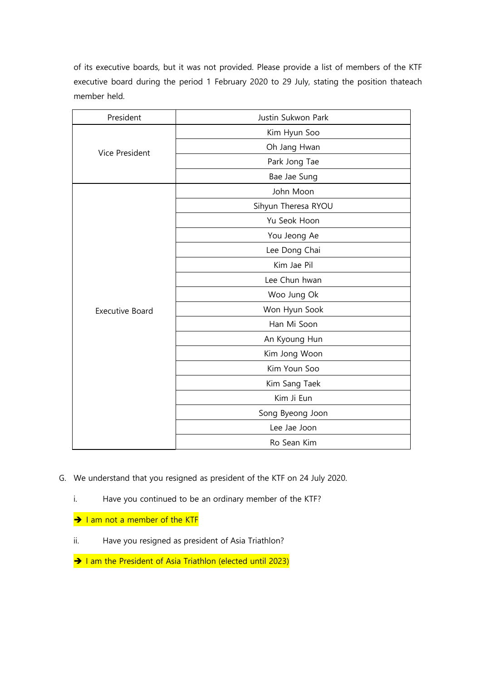of its executive boards, but it was not provided. Please provide a list of members of the KTF executive board during the period 1 February 2020 to 29 July, stating the position thateach member held.

| President              | Justin Sukwon Park  |
|------------------------|---------------------|
| Vice President         | Kim Hyun Soo        |
|                        | Oh Jang Hwan        |
|                        | Park Jong Tae       |
|                        | Bae Jae Sung        |
| <b>Executive Board</b> | John Moon           |
|                        | Sihyun Theresa RYOU |
|                        | Yu Seok Hoon        |
|                        | You Jeong Ae        |
|                        | Lee Dong Chai       |
|                        | Kim Jae Pil         |
|                        | Lee Chun hwan       |
|                        | Woo Jung Ok         |
|                        | Won Hyun Sook       |
|                        | Han Mi Soon         |
|                        | An Kyoung Hun       |
|                        | Kim Jong Woon       |
|                        | Kim Youn Soo        |
|                        | Kim Sang Taek       |
|                        | Kim Ji Eun          |
|                        | Song Byeong Joon    |
|                        | Lee Jae Joon        |
|                        | Ro Sean Kim         |

- G. We understand that you resigned as president of the KTF on 24 July 2020.
	- i. Have you continued to be an ordinary member of the KTF?
	- $\rightarrow$  I am not a member of the KTF
	- ii. Have you resigned as president of Asia Triathlon?
	- $\rightarrow$  I am the President of Asia Triathlon (elected until 2023)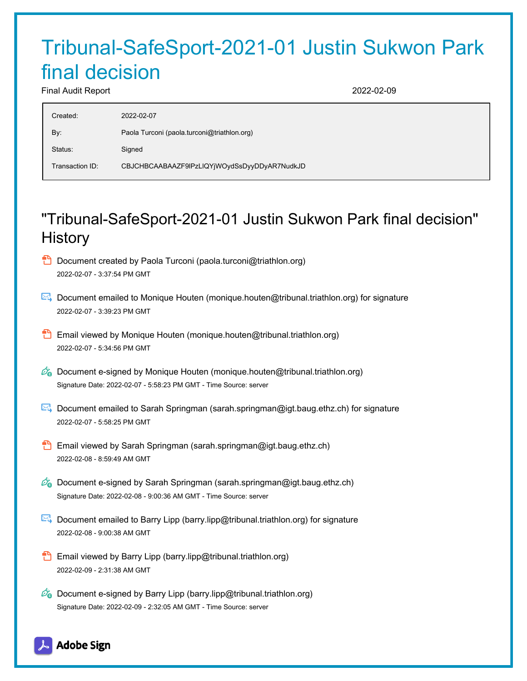# Tribunal-SafeSport-2021-01 Justin Sukwon Park final decision

Final Audit Report 2022-02-09

| Created:        | 2022-02-07                                   |
|-----------------|----------------------------------------------|
| By:             | Paola Turconi (paola turconi@triathlon.org)  |
| Status:         | Signed                                       |
| Transaction ID: | CBJCHBCAABAAZF9IPzLIQYjWOydSsDyyDDyAR7NudkJD |

## "Tribunal-SafeSport-2021-01 Justin Sukwon Park final decision" **History**

- **D** Document created by Paola Turconi (paola.turconi@triathlon.org) 2022-02-07 - 3:37:54 PM GMT
- Document emailed to Monique Houten (monique.houten@tribunal.triathlon.org) for signature 2022-02-07 - 3:39:23 PM GMT
- **Email viewed by Monique Houten (monique.houten@tribunal.triathlon.org)** 2022-02-07 - 5:34:56 PM GMT
- $\mathscr{O}_\bullet$  Document e-signed by Monique Houten (monique.houten@tribunal.triathlon.org) Signature Date: 2022-02-07 - 5:58:23 PM GMT - Time Source: server
- Document emailed to Sarah Springman (sarah.springman@igt.baug.ethz.ch) for signature 2022-02-07 - 5:58:25 PM GMT
- **Email viewed by Sarah Springman (sarah.springman@igt.baug.ethz.ch)** 2022-02-08 - 8:59:49 AM GMT
- $\mathcal{O}_0$  Document e-signed by Sarah Springman (sarah.springman@igt.baug.ethz.ch) Signature Date: 2022-02-08 - 9:00:36 AM GMT - Time Source: server
- Document emailed to Barry Lipp (barry.lipp@tribunal.triathlon.org) for signature 2022-02-08 - 9:00:38 AM GMT
- **Email viewed by Barry Lipp (barry.lipp@tribunal.triathlon.org)** 2022-02-09 - 2:31:38 AM GMT
- $\mathscr{O}_\mathbf{G}$  Document e-signed by Barry Lipp (barry.lipp@tribunal.triathlon.org) Signature Date: 2022-02-09 - 2:32:05 AM GMT - Time Source: server

### **Adobe Sign**